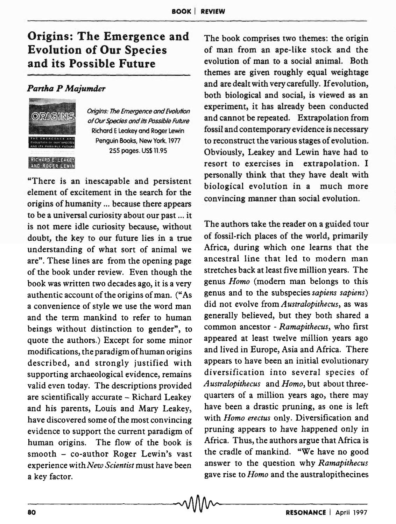## Origins: The Emergence and Evolution of Our Species and its Possible Future

## *Panha P Majumder*



Origins: The Emergence and Evolution of Our Species and its Possible fulUre Richard E Leakey and Roger Lewin Penguin Books, New York. 1977 255 pages. US\$11.95

"There is an inescapable and persistent element of excitement in the search for the origins of humanity ... because there appears to be a universal curiosity about our past ... it is not mere idle curiosity because, without doubt, the key to our future lies in a true understanding of what sort of animal we are". These lines are from the opening page of the book under review. Even though the book was written two decades ago, it is a very authentic account of the origins of man. ("As a convenience of style we use the word man and the term mankind to refer to human beings without distinction to gender", to quote the authors.) Except for some minor modifications, the paradigm of human origins described, and strongly justified with supporting archaeological evidence, remains valid even today. The descriptions provided are scientifically accurate - Richard Leakey and his parents, Louis and Mary Leakey, have discovered some of the most convincing evidence to support the current paradigm of human origins. The flow of the book is smooth - co-author Roger Lewin's vast experience with *New Scientist* must have been a key factor.

The book comprises two themes: the origin of man from an ape-like stock and the evolution of man to a social animal. Both themes are given roughly equal weightage and are dealt with very carefully. If evolution, both biological and social, is viewed as an experiment, it has already been conducted and cannot be repeated. Extrapolation from fossil and contemporary evidence is necessary to reconstruct the various stages of evolution. Obviously, Leakey and Lewin have had to resort to exercises in extrapolation. I personally think that they have dealt with biological evolution in a much more convincing manner than social evolution.

The authors take the reader on a guided tour of fossil-rich places of the world, primarily Africa, during which one learns that the ancestral line that led to modern man stretches back at least five million years. The genus *Homo* (modem man belongs to this genus and to the subspecies *sapiens sapiens)*  did not evolve from *Australopithecus,* as was generally believed, but they both shared a common ancestor - *Ramapithecus,* who first appeared at least twelve million years ago and lived in Europe, Asia and Africa. There appears to have been an initial evolutionary diversification into several species of *Australopithecus* and *Homo,* but about threequarters of a million years ago, there may have been a drastic pruning, as one is left with *Homo erectus* only. Diversification and pruning appears to have happened only in Africa. Thus, the authors argue that Africa is the cradle of mankind. "We have no good answer to the question why *Ramapithecus*  gave rise to *Homo* and the australopithecines